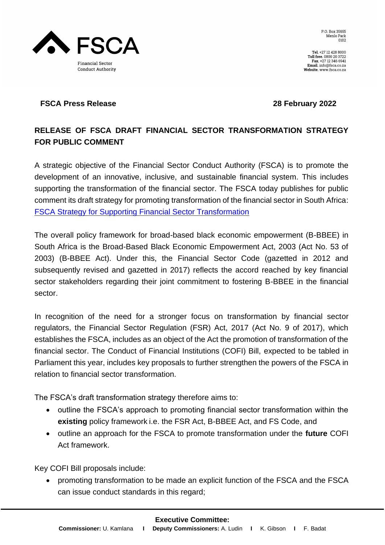

Tel. +27 12 428 8000<br>Toll free. 0800 20 3722 Fax. +27 12 346 6941 Email. info@fsca.co.za Website. www.fsca.co.za

# **NESCA Financial Sector Conduct Authority**

## **FSCA Press Release 28 February 2022**

# **RELEASE OF FSCA DRAFT FINANCIAL SECTOR TRANSFORMATION STRATEGY FOR PUBLIC COMMENT**

A strategic objective of the Financial Sector Conduct Authority (FSCA) is to promote the development of an innovative, inclusive, and sustainable financial system. This includes supporting the transformation of the financial sector. The FSCA today publishes for public comment its draft strategy for promoting transformation of the financial sector in South Africa: [FSCA Strategy for Supporting Financial Sector Transformation](https://www.fsca.co.za/Regulatory%20Frameworks/Documents%20for%20Consultation/Draft%20for%20public%20comment%20-%20FSCA%20Strategy%20for%20Supporting%20Financial%20Sector%20Transformation.pdf)

The overall policy framework for broad-based black economic empowerment (B-BBEE) in South Africa is the Broad-Based Black Economic Empowerment Act, 2003 (Act No. 53 of 2003) (B-BBEE Act). Under this, the Financial Sector Code (gazetted in 2012 and subsequently revised and gazetted in 2017) reflects the accord reached by key financial sector stakeholders regarding their joint commitment to fostering B-BBEE in the financial sector.

In recognition of the need for a stronger focus on transformation by financial sector regulators, the Financial Sector Regulation (FSR) Act, 2017 (Act No. 9 of 2017), which establishes the FSCA, includes as an object of the Act the promotion of transformation of the financial sector. The Conduct of Financial Institutions (COFI) Bill, expected to be tabled in Parliament this year, includes key proposals to further strengthen the powers of the FSCA in relation to financial sector transformation.

The FSCA's draft transformation strategy therefore aims to:

- outline the FSCA's approach to promoting financial sector transformation within the **existing** policy framework i.e. the FSR Act, B-BBEE Act, and FS Code, and
- outline an approach for the FSCA to promote transformation under the **future** COFI Act framework.

Key COFI Bill proposals include:

• promoting transformation to be made an explicit function of the FSCA and the FSCA can issue conduct standards in this regard;